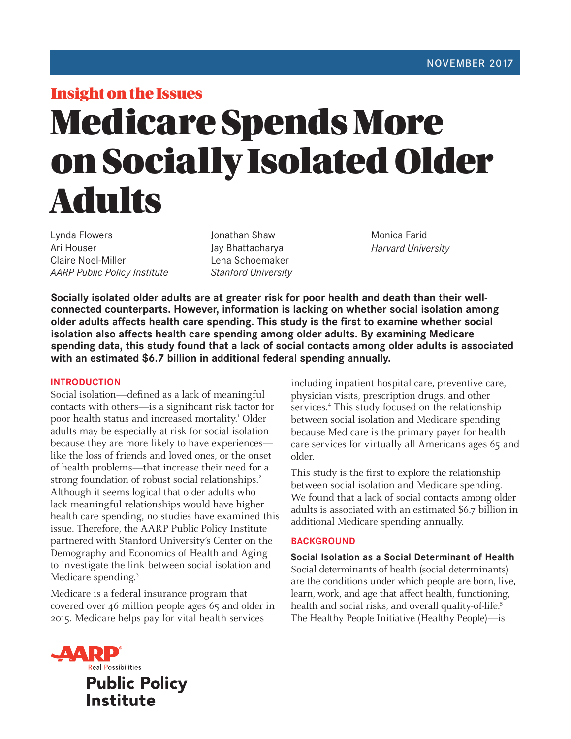# Insight on the Issues Medicare Spends More on Socially Isolated Older Adults

Lynda Flowers Ari Houser Claire Noel-Miller *AARP Public Policy Institute* Jonathan Shaw Jay Bhattacharya Lena Schoemaker *Stanford University*  Monica Farid *Harvard University* 

**Socially isolated older adults are at greater risk for poor health and death than their wellconnected counterparts. However, information is lacking on whether social isolation among older adults affects health care spending. This study is the first to examine whether social isolation also affects health care spending among older adults. By examining Medicare spending data, this study found that a lack of social contacts among older adults is associated with an estimated \$6.7 billion in additional federal spending annually.** 

# **INTRODUCTION**

Social isolation—defined as a lack of meaningful contacts with others—is a significant risk factor for poor health status and increased mortality.<sup>1</sup> Older adults may be especially at risk for social isolation because they are more likely to have experiences like the loss of friends and loved ones, or the onset of health problems—that increase their need for a strong foundation of robust social relationships.<sup>2</sup> Although it seems logical that older adults who lack meaningful relationships would have higher health care spending, no studies have examined this issue. Therefore, the AARP Public Policy Institute partnered with Stanford University's Center on the Demography and Economics of Health and Aging to investigate the link between social isolation and Medicare spending.3

Medicare is a federal insurance program that covered over 46 million people ages 65 and older in 2015. Medicare helps pay for vital health services

including inpatient hospital care, preventive care, physician visits, prescription drugs, and other services.<sup>4</sup> This study focused on the relationship between social isolation and Medicare spending because Medicare is the primary payer for health care services for virtually all Americans ages 65 and older.

This study is the first to explore the relationship between social isolation and Medicare spending. We found that a lack of social contacts among older adults is associated with an estimated \$6.7 billion in additional Medicare spending annually.

# **BACKGROUND**

**Social Isolation as a Social Determinant of Health**  Social determinants of health (social determinants) are the conditions under which people are born, live, learn, work, and age that affect health, functioning, health and social risks, and overall quality-of-life.<sup>5</sup> The Healthy People Initiative (Healthy People)—is

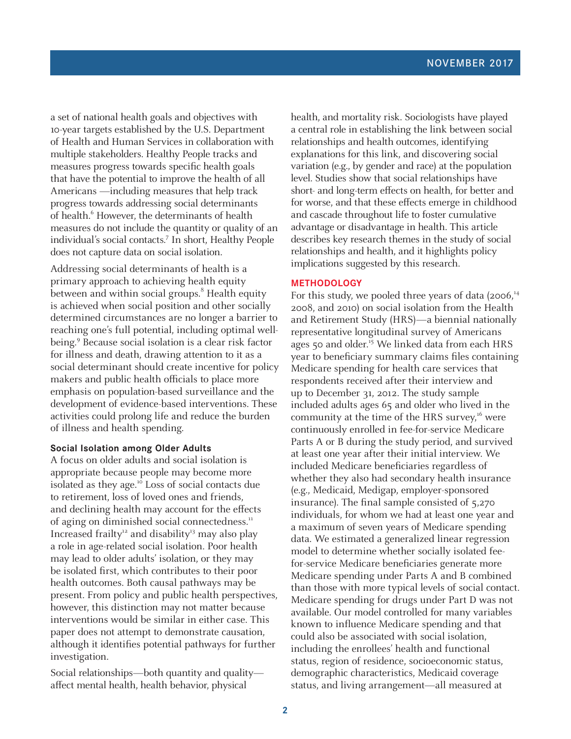a set of national health goals and objectives with 10-year targets established by the U.S. Department of Health and Human Services in collaboration with multiple stakeholders. Healthy People tracks and measures progress towards specific health goals that have the potential to improve the health of all Americans —including measures that help track progress towards addressing social determinants of health.<sup>6</sup> However, the determinants of health measures do not include the quantity or quality of an individual's social contacts.7 In short, Healthy People does not capture data on social isolation.

Addressing social determinants of health is a primary approach to achieving health equity between and within social groups.<sup>8</sup> Health equity is achieved when social position and other socially determined circumstances are no longer a barrier to reaching one's full potential, including optimal wellbeing.<sup>9</sup> Because social isolation is a clear risk factor for illness and death, drawing attention to it as a social determinant should create incentive for policy makers and public health officials to place more emphasis on population-based surveillance and the development of evidence-based interventions. These activities could prolong life and reduce the burden of illness and health spending.

## **Social Isolation among Older Adults**

A focus on older adults and social isolation is appropriate because people may become more isolated as they age.10 Loss of social contacts due to retirement, loss of loved ones and friends, and declining health may account for the effects of aging on diminished social connectedness.<sup>11</sup> Increased frailty<sup>12</sup> and disability<sup>13</sup> may also play a role in age-related social isolation. Poor health may lead to older adults' isolation, or they may be isolated first, which contributes to their poor health outcomes. Both causal pathways may be present. From policy and public health perspectives, however, this distinction may not matter because interventions would be similar in either case. This paper does not attempt to demonstrate causation, although it identifies potential pathways for further investigation.

Social relationships—both quantity and quality affect mental health, health behavior, physical

health, and mortality risk. Sociologists have played a central role in establishing the link between social relationships and health outcomes, identifying explanations for this link, and discovering social variation (e.g., by gender and race) at the population level. Studies show that social relationships have short- and long-term effects on health, for better and for worse, and that these effects emerge in childhood and cascade throughout life to foster cumulative advantage or disadvantage in health. This article describes key research themes in the study of social relationships and health, and it highlights policy implications suggested by this research.

## **METHODOLOGY**

For this study, we pooled three years of data  $(2006)^{14}$ 2008, and 2010) on social isolation from the Health and Retirement Study (HRS)—a biennial nationally representative longitudinal survey of Americans ages 50 and older.<sup>15</sup> We linked data from each HRS year to beneficiary summary claims files containing Medicare spending for health care services that respondents received after their interview and up to December 31, 2012. The study sample included adults ages 65 and older who lived in the community at the time of the HRS survey, $16$  were continuously enrolled in fee-for-service Medicare Parts A or B during the study period, and survived at least one year after their initial interview. We included Medicare beneficiaries regardless of whether they also had secondary health insurance (e.g., Medicaid, Medigap, employer-sponsored insurance). The final sample consisted of 5,270 individuals, for whom we had at least one year and a maximum of seven years of Medicare spending data. We estimated a generalized linear regression model to determine whether socially isolated feefor-service Medicare beneficiaries generate more Medicare spending under Parts A and B combined than those with more typical levels of social contact. Medicare spending for drugs under Part D was not available. Our model controlled for many variables known to influence Medicare spending and that could also be associated with social isolation, including the enrollees' health and functional status, region of residence, socioeconomic status, demographic characteristics, Medicaid coverage status, and living arrangement—all measured at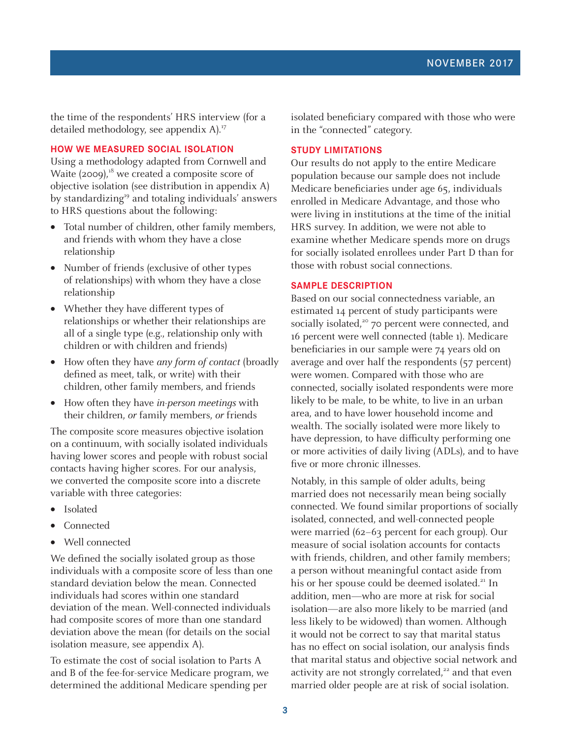the time of the respondents' HRS interview (for a detailed methodology, see appendix A).<sup>17</sup>

# **HOW WE MEASURED SOCIAL ISOLATION**

Using a methodology adapted from Cornwell and Waite  $(2009)$ ,<sup>18</sup> we created a composite score of objective isolation (see distribution in appendix A) by standardizing<sup>19</sup> and totaling individuals' answers to HRS questions about the following:

- Total number of children, other family members, and friends with whom they have a close relationship
- Number of friends (exclusive of other types of relationships) with whom they have a close relationship
- Whether they have different types of relationships or whether their relationships are all of a single type (e.g., relationship only with children or with children and friends)
- How often they have any form of contact (broadly defined as meet, talk, or write) with their children, other family members, and friends
- How often they have *in-person meetings* with their children, or family members, or friends

The composite score measures objective isolation on a continuum, with socially isolated individuals having lower scores and people with robust social contacts having higher scores. For our analysis, we converted the composite score into a discrete variable with three categories:

- **Isolated**
- Connected
- Well connected

We defined the socially isolated group as those individuals with a composite score of less than one standard deviation below the mean. Connected individuals had scores within one standard deviation of the mean. Well-connected individuals had composite scores of more than one standard deviation above the mean (for details on the social isolation measure, see appendix A).

To estimate the cost of social isolation to Parts A and B of the fee-for-service Medicare program, we determined the additional Medicare spending per

isolated beneficiary compared with those who were in the "connected" category.

# **STUDY LIMITATIONS**

Our results do not apply to the entire Medicare population because our sample does not include Medicare beneficiaries under age 65, individuals enrolled in Medicare Advantage, and those who were living in institutions at the time of the initial HRS survey. In addition, we were not able to examine whether Medicare spends more on drugs for socially isolated enrollees under Part D than for those with robust social connections.

## **SAMPLE DESCRIPTION**

Based on our social connectedness variable, an estimated 14 percent of study participants were socially isolated, $2^{\circ}$  70 percent were connected, and 16 percent were well connected (table 1). Medicare beneficiaries in our sample were 74 years old on average and over half the respondents (57 percent) were women. Compared with those who are connected, socially isolated respondents were more likely to be male, to be white, to live in an urban area, and to have lower household income and wealth. The socially isolated were more likely to have depression, to have difficulty performing one or more activities of daily living (ADLs), and to have five or more chronic illnesses.

Notably, in this sample of older adults, being married does not necessarily mean being socially connected. We found similar proportions of socially isolated, connected, and well-connected people were married (62–63 percent for each group). Our measure of social isolation accounts for contacts with friends, children, and other family members; a person without meaningful contact aside from his or her spouse could be deemed isolated.<sup>21</sup> In addition, men—who are more at risk for social isolation—are also more likely to be married (and less likely to be widowed) than women. Although it would not be correct to say that marital status has no effect on social isolation, our analysis finds that marital status and objective social network and activity are not strongly correlated, $22$  and that even married older people are at risk of social isolation.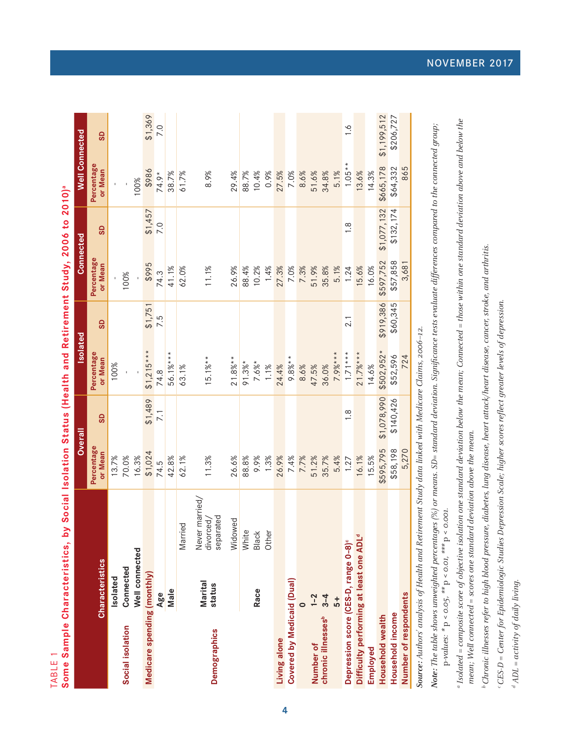TABLE 1

| )<br> <br>                     |  |
|--------------------------------|--|
|                                |  |
| I                              |  |
| $500100$ $\rightarrow$ $00100$ |  |
|                                |  |
| i                              |  |
| ֚֚֡                            |  |
|                                |  |
| j                              |  |
|                                |  |
|                                |  |
|                                |  |
|                                |  |
|                                |  |
|                                |  |
| ĺ                              |  |

|                                                     |                        |                                          |                       | Overall          | <b>Isolated</b>       |           | Connected             |               | <b>Well Connected</b> |               |
|-----------------------------------------------------|------------------------|------------------------------------------|-----------------------|------------------|-----------------------|-----------|-----------------------|---------------|-----------------------|---------------|
|                                                     | <b>Characteristics</b> |                                          | Percentage<br>or Mean | <b>GS</b>        | Percentage<br>or Mean | GD        | Percentage<br>or Mean | GD            | Percentage<br>or Mean | GD            |
|                                                     | Isolated               |                                          | 13.7%                 |                  | 100%                  |           |                       |               |                       |               |
| Social isolation                                    | Connected              |                                          | 70.0%                 |                  |                       |           | 100%                  |               |                       |               |
|                                                     | Well connected         |                                          | 16.3%                 |                  |                       |           |                       |               | 100%                  |               |
| Medicare spending (monthly)                         |                        |                                          | \$1,024               | \$1,489          | $$1,215***$           | \$1,751   | \$995                 | \$1,457       | \$986                 | \$1,369       |
|                                                     | Age                    |                                          | 74.5                  | $\overline{7.1}$ | 74.8                  | 7.5       | 74.3                  | 7.0           | $74.9*$               | 7.0           |
|                                                     | Male                   |                                          | 42.8%                 |                  | 56.1%***              |           | 41.1%                 |               | 38.7%                 |               |
|                                                     |                        | Married                                  | 62.1%                 |                  | 63.1%                 |           | 62.0%                 |               | 61.7%                 |               |
| <b>Demographics</b>                                 | Marital<br>status      | Never married/<br>separated<br>divorced, | 11.3%                 |                  | $15.1\%**$            |           | 11.1%                 |               | 8.9%                  |               |
|                                                     |                        | Widowed                                  | 26.6%                 |                  | $21.8%$ **            |           | 26.9%                 |               | 29.4%                 |               |
|                                                     |                        | White                                    | 88.8%                 |                  | $91.3%$ *             |           | 88.4%                 |               | 88.7%                 |               |
|                                                     | Race                   | Black                                    | 9.9%                  |                  | $7.6%$ *              |           | 10.2%                 |               | 10.4%                 |               |
|                                                     |                        | Other                                    | 1.3%                  |                  | 1.1%                  |           | 1.4%                  |               | 0.9%                  |               |
| Living alone                                        |                        |                                          | 26.9%                 |                  | 24.4%                 |           | 27.3%                 |               | 27.5%                 |               |
| Covered by Medicaid (Dual)                          |                        |                                          | 7.4%                  |                  | $9.8\%**$             |           | 7.0%                  |               | 7.0%                  |               |
|                                                     |                        |                                          | 7.7%                  |                  | 8.6%                  |           | 7.3%                  |               | 8.6%                  |               |
| Number of                                           | $1 - 2$                |                                          | 51.2%                 |                  | 47.5%                 |           | 51.9%                 |               | 51.6%                 |               |
| chronic illnesses <sup>b</sup>                      | $3 - 4$                |                                          | 35.7%                 |                  | 36.0%                 |           | 35.8%                 |               | 34.8%                 |               |
|                                                     | $\frac{1}{2}$          |                                          | 5.4%                  |                  | $7.9%***$             |           | 5.1%                  |               | 5.1%                  |               |
| Depression score (CES-D, range 0-8)°                |                        |                                          | 1.27                  | $\frac{8}{1}$    | $1.71***$             | 2.1       | 1.24                  | $\frac{8}{1}$ | $1.05**$              | $\frac{6}{1}$ |
| Difficulty performing at least one ADL <sup>d</sup> |                        |                                          | 16.1%                 |                  | $21.7%***$            |           | 15.6%                 |               | 13.6%                 |               |
| Employed                                            |                        |                                          | 15.5%                 |                  | 14.6%                 |           | 16.0%                 |               | 14.3%                 |               |
| Household wealth                                    |                        |                                          | \$595,795             | \$1,078,990      | $$502,952*$           | \$919,386 | \$597,752             | \$1,077,132   | \$665,178             | \$1,199,512   |
| Household income                                    |                        |                                          | \$58,198              | \$140,426        | \$52,596              | \$60,345  | \$57,858              | \$132,174     | \$64,332              | \$206,727     |
| Number of respondents                               |                        |                                          | 5,270                 |                  | 724                   |           | 3,681                 |               | 865                   |               |
|                                                     |                        |                                          |                       |                  |                       |           |                       |               |                       |               |

Source: Authors' analysis of Health and Retirement Study data linked with Medicare Claims, 2006–12. **Source:** Authors' analysis of Health and Retirement Study data linked with Medicare Claims, 2006–12.

**Note:** The table shows unweighted percentages (%) or means. SD= standard deviation. Significance tests evaluate differences compared to the connected group; Note: The table shows unweighted percentages (%) or means. SD= standard deviation. Significance tests evaluate differences compared to the connected group;  $\text{p-values:} \ ^{\ast }\text{p} < 0.05, \ ^{\ast \ast }\text{p} < 0.01, \ ^{\ast \ast \ast }\text{p} < 0.001.$ p-values:  $* p < o.o.s, * p < o.o.t, * * p < o.o.o.t.$ 

a Isolated = composite score of objective isolation one standard deviation below the mean; Connected = those within one standard deviation above and below the a Isolated = composite score of objective isolation one standard deviation below the mean; Connected = those within one standard deviation above and below the mean; Well connected = scores one standard deviation above the mean. mean; Well connected = scores one standard deviation above the mean.

<sup>b</sup> Chronic illnesses refer to high blood pressure, diabetes, lung disease, heart attack/heart disease, cancer, stroke, and arthritis. b Chronic illnesses refer to high blood pressure, diabetes, lung disease, heart attack/heart disease, cancer, stroke, and arthritis.

c CES-D = Center for Epidemiologic Studies Depression Scale; higher scores reflect greater levels of depression. CES-D = Center for Epidemiologic Studies Depression Scale; higher scores reflect greater levels of depression.

 $d$  ADL = activity of daily living.  $^d$  ADL = activity of daily living.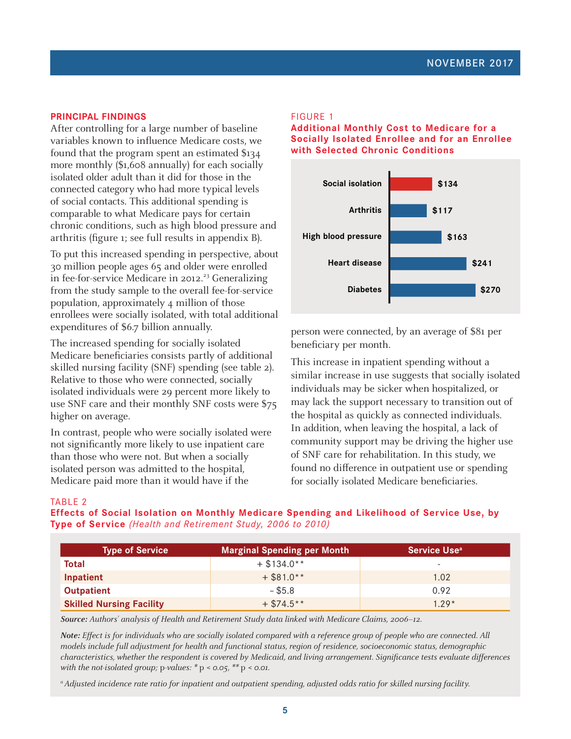## **PRINCIPAL FINDINGS**

After controlling for a large number of baseline variables known to influence Medicare costs, we found that the program spent an estimated \$134 more monthly (\$1,608 annually) for each socially isolated older adult than it did for those in the connected category who had more typical levels of social contacts. This additional spending is comparable to what Medicare pays for certain chronic conditions, such as high blood pressure and arthritis (figure 1; see full results in appendix B).

To put this increased spending in perspective, about 30 million people ages 65 and older were enrolled in fee-for-service Medicare in 2012.<sup>23</sup> Generalizing from the study sample to the overall fee-for-service population, approximately 4 million of those enrollees were socially isolated, with total additional expenditures of \$6.7 billion annually.

The increased spending for socially isolated Medicare beneficiaries consists partly of additional skilled nursing facility (SNF) spending (see table 2). Relative to those who were connected, socially isolated individuals were 29 percent more likely to use SNF care and their monthly SNF costs were \$75 higher on average.

In contrast, people who were socially isolated were not significantly more likely to use inpatient care than those who were not. But when a socially isolated person was admitted to the hospital, Medicare paid more than it would have if the

#### FIGURE 1

**Additional Monthly Cost to Medicare for a Socially Isolated Enrollee and for an Enrollee with Selected Chronic Conditions** 



person were connected, by an average of \$81 per beneficiary per month.

This increase in inpatient spending without a similar increase in use suggests that socially isolated individuals may be sicker when hospitalized, or may lack the support necessary to transition out of the hospital as quickly as connected individuals. In addition, when leaving the hospital, a lack of community support may be driving the higher use of SNF care for rehabilitation. In this study, we found no difference in outpatient use or spending for socially isolated Medicare beneficiaries.

#### TABLE 2

**Effects of Social Isolation on Monthly Medicare Spending and Likelihood of Service Use, by Type of Service** *(Health and Retirement Study, 2006 to 2010)*

| <b>Type of Service</b>          | <b>Marginal Spending per Month</b> | Service Use <sup>a</sup> |
|---------------------------------|------------------------------------|--------------------------|
| Total                           | $+$ \$134.0**                      | -                        |
| Inpatient                       | $+$ \$81.0**                       | 1.02                     |
| <b>Outpatient</b>               | $-$ \$5.8                          | 0.92                     |
| <b>Skilled Nursing Facility</b> | $+$ \$74.5**                       | $1.79*$                  |

**Source:** Authors' analysis of Health and Retirement Study data linked with Medicare Claims, 2006–12.

**Note:** Effect is for individuals who are socially isolated compared with a reference group of people who are connected. All models include full adjustment for health and functional status, region of residence, socioeconomic status, demographic characteristics, whether the respondent is covered by Medicaid, and living arrangement. Significance tests evaluate differences with the not-isolated group;  $p$ -values:  $* p < 0.05$ ,  $** p < 0.01$ .

a Adjusted incidence rate ratio for inpatient and outpatient spending, adjusted odds ratio for skilled nursing facility.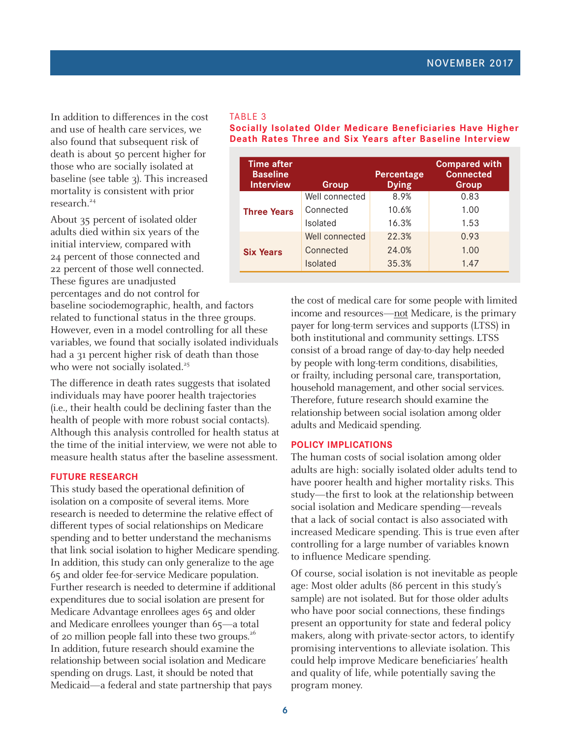In addition to differences in the cost and use of health care services, we also found that subsequent risk of death is about 50 percent higher for those who are socially isolated at baseline (see table 3). This increased mortality is consistent with prior research.<sup>24</sup>

About 35 percent of isolated older adults died within six years of the initial interview, compared with 24 percent of those connected and 22 percent of those well connected. These figures are unadjusted

percentages and do not control for baseline sociodemographic, health, and factors

related to functional status in the three groups. However, even in a model controlling for all these variables, we found that socially isolated individuals had a 31 percent higher risk of death than those who were not socially isolated.<sup>25</sup>

The difference in death rates suggests that isolated individuals may have poorer health trajectories (i.e., their health could be declining faster than the health of people with more robust social contacts). Although this analysis controlled for health status at the time of the initial interview, we were not able to measure health status after the baseline assessment.

# **FUTURE RESEARCH**

This study based the operational definition of isolation on a composite of several items. More research is needed to determine the relative effect of different types of social relationships on Medicare spending and to better understand the mechanisms that link social isolation to higher Medicare spending. In addition, this study can only generalize to the age 65 and older fee-for-service Medicare population. Further research is needed to determine if additional expenditures due to social isolation are present for Medicare Advantage enrollees ages 65 and older and Medicare enrollees younger than 65—a total of 20 million people fall into these two groups.<sup>26</sup> In addition, future research should examine the relationship between social isolation and Medicare spending on drugs. Last, it should be noted that Medicaid—a federal and state partnership that pays

#### TABLE 3

#### **Socially Isolated Older Medicare Beneficiaries Have Higher Death Rates Three and Six Years after Baseline Interview**

| <b>Time after</b><br><b>Baseline</b><br><b>Interview</b> | Group           | Percentage<br><b>Dying</b> | <b>Compared with</b><br><b>Connected</b><br>Group |
|----------------------------------------------------------|-----------------|----------------------------|---------------------------------------------------|
|                                                          | Well connected  | 8.9%                       | 0.83                                              |
| <b>Three Years</b>                                       | Connected       | 10.6%                      | 1.00                                              |
|                                                          | <b>Isolated</b> | 16.3%                      | 1.53                                              |
|                                                          | Well connected  | 22.3%                      | 0.93                                              |
| <b>Six Years</b>                                         | Connected       | 24.0%                      | 1.00                                              |
|                                                          | <b>Isolated</b> | 35.3%                      | 1.47                                              |

the cost of medical care for some people with limited income and resources—not Medicare, is the primary payer for long-term services and supports (LTSS) in both institutional and community settings. LTSS consist of a broad range of day-to-day help needed by people with long-term conditions, disabilities, or frailty, including personal care, transportation, household management, and other social services. Therefore, future research should examine the relationship between social isolation among older adults and Medicaid spending.

## **POLICY IMPLICATIONS**

The human costs of social isolation among older adults are high: socially isolated older adults tend to have poorer health and higher mortality risks. This study—the first to look at the relationship between social isolation and Medicare spending—reveals that a lack of social contact is also associated with increased Medicare spending. This is true even after controlling for a large number of variables known to influence Medicare spending.

Of course, social isolation is not inevitable as people age: Most older adults (86 percent in this study's sample) are not isolated. But for those older adults who have poor social connections, these findings present an opportunity for state and federal policy makers, along with private-sector actors, to identify promising interventions to alleviate isolation. This could help improve Medicare beneficiaries' health and quality of life, while potentially saving the program money.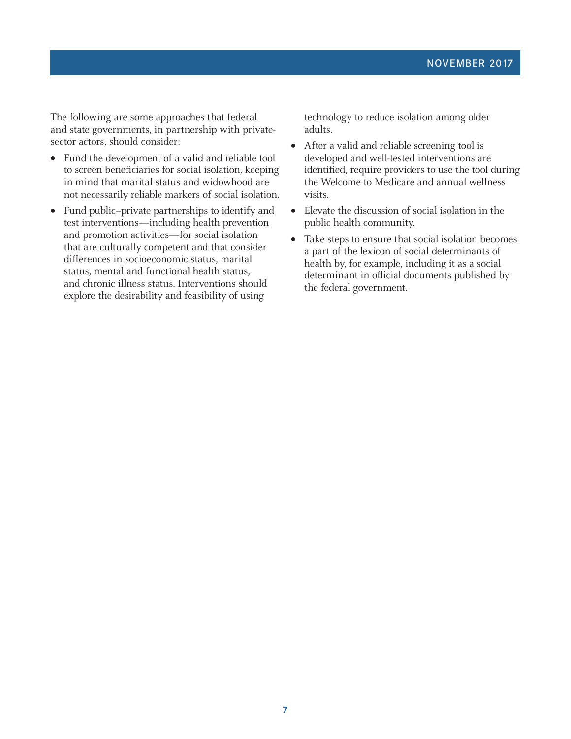The following are some approaches that federal and state governments, in partnership with privatesector actors, should consider:

- Fund the development of a valid and reliable tool to screen beneficiaries for social isolation, keeping in mind that marital status and widowhood are not necessarily reliable markers of social isolation.
- Fund public–private partnerships to identify and test interventions—including health prevention and promotion activities—for social isolation that are culturally competent and that consider differences in socioeconomic status, marital status, mental and functional health status, and chronic illness status. Interventions should explore the desirability and feasibility of using

technology to reduce isolation among older adults.

- After a valid and reliable screening tool is developed and well-tested interventions are identified, require providers to use the tool during the Welcome to Medicare and annual wellness visits.
- Elevate the discussion of social isolation in the public health community.
- Take steps to ensure that social isolation becomes a part of the lexicon of social determinants of health by, for example, including it as a social determinant in official documents published by the federal government.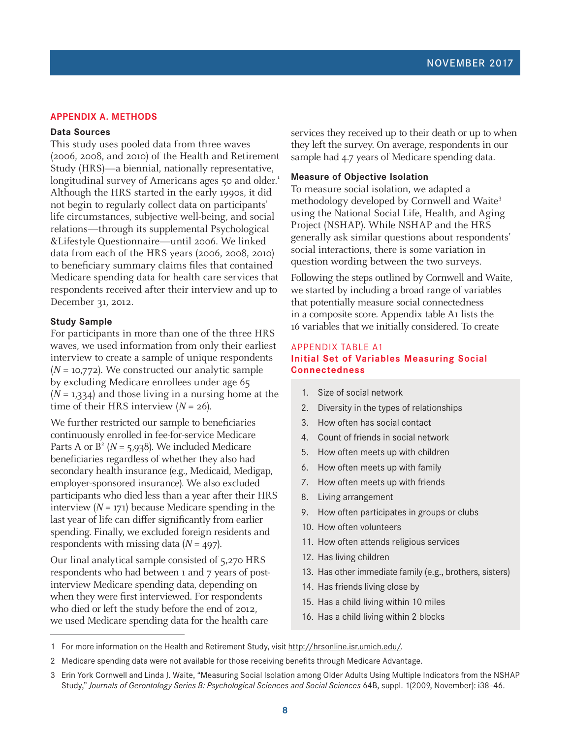## **APPENDIX A. METHODS**

#### **Data Sources**

This study uses pooled data from three waves (2006, 2008, and 2010) of the Health and Retirement Study (HRS)—a biennial, nationally representative, longitudinal survey of Americans ages 50 and older.<sup>1</sup> Although the HRS started in the early 1990s, it did not begin to regularly collect data on participants' life circumstances, subjective well-being, and social relations—through its supplemental Psychological &Lifestyle Questionnaire—until 2006. We linked data from each of the HRS years (2006, 2008, 2010) to beneficiary summary claims files that contained Medicare spending data for health care services that respondents received after their interview and up to December 31, 2012.

#### **Study Sample**

For participants in more than one of the three HRS waves, we used information from only their earliest interview to create a sample of unique respondents  $(N = 10,772)$ . We constructed our analytic sample by excluding Medicare enrollees under age 65  $(N = 1,334)$  and those living in a nursing home at the time of their HRS interview  $(N = 26)$ .

We further restricted our sample to beneficiaries continuously enrolled in fee-for-service Medicare Parts A or  $B^2$  (N = 5,938). We included Medicare beneficiaries regardless of whether they also had secondary health insurance (e.g., Medicaid, Medigap, employer-sponsored insurance). We also excluded participants who died less than a year after their HRS interview  $(N = 171)$  because Medicare spending in the last year of life can differ significantly from earlier spending. Finally, we excluded foreign residents and respondents with missing data  $(N = 497)$ .

Our final analytical sample consisted of 5,270 HRS respondents who had between 1 and 7 years of postinterview Medicare spending data, depending on when they were first interviewed. For respondents who died or left the study before the end of 2012, we used Medicare spending data for the health care

services they received up to their death or up to when they left the survey. On average, respondents in our sample had 4.7 years of Medicare spending data.

#### **Measure of Objective Isolation**

To measure social isolation, we adapted a methodology developed by Cornwell and Waite<sup>3</sup> using the National Social Life, Health, and Aging Project (NSHAP). While NSHAP and the HRS generally ask similar questions about respondents' social interactions, there is some variation in question wording between the two surveys.

Following the steps outlined by Cornwell and Waite, we started by including a broad range of variables that potentially measure social connectedness in a composite score. Appendix table A1 lists the 16 variables that we initially considered. To create

## APPENDIX TABLE A1 **Initial Set of Variables Measuring Social Connectedness**

- 1. Size of social network
- 2. Diversity in the types of relationships
- 3. How often has social contact
- 4. Count of friends in social network
- 5. How often meets up with children
- 6. How often meets up with family
- 7. How often meets up with friends
- 8. Living arrangement
- 9. How often participates in groups or clubs
- 10. How often volunteers
- 11. How often attends religious services
- 12. Has living children
- 13. Has other immediate family (e.g., brothers, sisters)
- 14. Has friends living close by
- 15. Has a child living within 10 miles
- 16. Has a child living within 2 blocks

<sup>1</sup> For more information on the Health and Retirement Study, visit [http://hrsonline.isr.umich.edu/.](http://hrsonline.isr.umich.edu/)

<sup>2</sup> Medicare spending data were not available for those receiving benefits through Medicare Advantage.

<sup>3</sup> Erin York Cornwell and Linda J. Waite, "Measuring Social Isolation among Older Adults Using Multiple Indicators from the NSHAP Study," *Journals of Gerontology Series B: Psychological Sciences and Social Sciences* 64B, suppl. 1(2009, November): i38–46.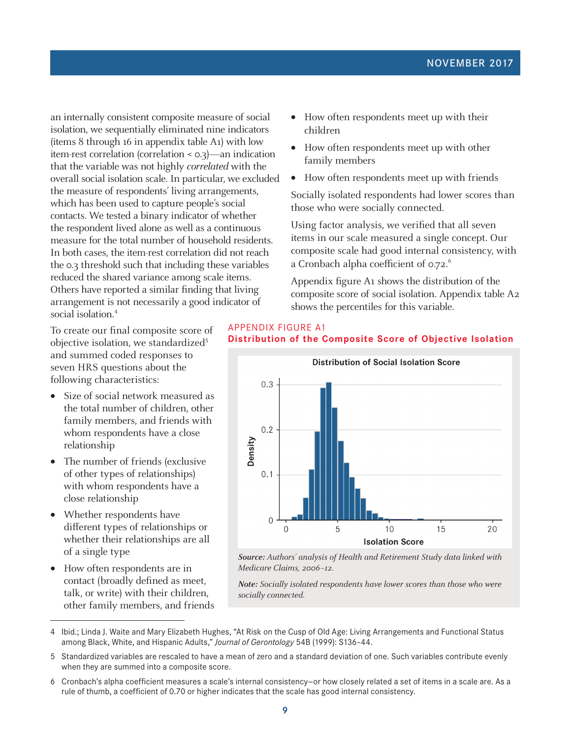an internally consistent composite measure of social isolation, we sequentially eliminated nine indicators (items 8 through 16 in appendix table A1) with low item-rest correlation (correlation < 0.3)—an indication that the variable was not highly correlated with the overall social isolation scale. In particular, we excluded the measure of respondents' living arrangements, which has been used to capture people's social contacts. We tested a binary indicator of whether the respondent lived alone as well as a continuous measure for the total number of household residents. In both cases, the item-rest correlation did not reach the 0.3 threshold such that including these variables reduced the shared variance among scale items. Others have reported a similar finding that living arrangement is not necessarily a good indicator of social isolation.<sup>4</sup>

To create our final composite score of objective isolation, we standardized<sup>5</sup> and summed coded responses to seven HRS questions about the following characteristics:

- Size of social network measured as the total number of children, other family members, and friends with whom respondents have a close relationship
- The number of friends (exclusive of other types of relationships) with whom respondents have a close relationship
- Whether respondents have different types of relationships or whether their relationships are all of a single type
- How often respondents are in contact (broadly defined as meet, talk, or write) with their children, other family members, and friends
- How often respondents meet up with their children
- How often respondents meet up with other family members
- How often respondents meet up with friends

Socially isolated respondents had lower scores than those who were socially connected.

Using factor analysis, we verified that all seven items in our scale measured a single concept. Our composite scale had good internal consistency, with a Cronbach alpha coefficient of 0.72.<sup>6</sup>

Appendix figure A1 shows the distribution of the composite score of social isolation. Appendix table A2 shows the percentiles for this variable.

# APPENDIX FIGURE A1 **Distribution of the Composite Score of Objective Isolation**



**Source:** Authors' analysis of Health and Retirement Study data linked with Medicare Claims, 2006–12.

**Note:** Socially isolated respondents have lower scores than those who were socially connected.

- 4 Ibid.; Linda J. Waite and Mary Elizabeth Hughes, "At Risk on the Cusp of Old Age: Living Arrangements and Functional Status among Black, White, and Hispanic Adults," *Journal of Gerontology* 54B (1999): S136–44.
- 5 Standardized variables are rescaled to have a mean of zero and a standard deviation of one. Such variables contribute evenly when they are summed into a composite score.
- 6 Cronbach's alpha coefficient measures a scale's internal consistency—or how closely related a set of items in a scale are. As a rule of thumb, a coefficient of 0.70 or higher indicates that the scale has good internal consistency.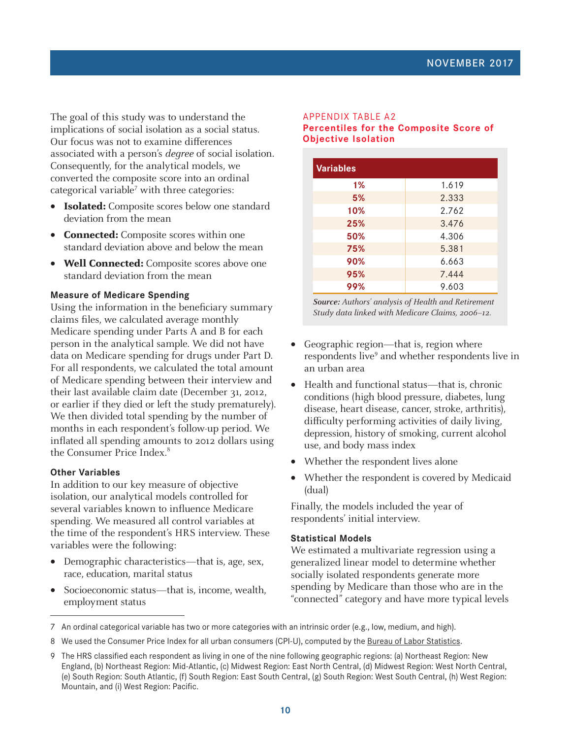The goal of this study was to understand the implications of social isolation as a social status. Our focus was not to examine differences associated with a person's degree of social isolation. Consequently, for the analytical models, we converted the composite score into an ordinal categorical variable<sup>7</sup> with three categories:

- **Isolated:** Composite scores below one standard deviation from the mean
- **Connected:** Composite scores within one standard deviation above and below the mean
- **Well Connected:** Composite scores above one standard deviation from the mean

## **Measure of Medicare Spending**

Using the information in the beneficiary summary claims files, we calculated average monthly Medicare spending under Parts A and B for each person in the analytical sample. We did not have data on Medicare spending for drugs under Part D. For all respondents, we calculated the total amount of Medicare spending between their interview and their last available claim date (December 31, 2012, or earlier if they died or left the study prematurely). We then divided total spending by the number of months in each respondent's follow-up period. We inflated all spending amounts to 2012 dollars using the Consumer Price Index.<sup>8</sup>

#### **Other Variables**

In addition to our key measure of objective isolation, our analytical models controlled for several variables known to influence Medicare spending. We measured all control variables at the time of the respondent's HRS interview. These variables were the following:

- Demographic characteristics—that is, age, sex, race, education, marital status
- Socioeconomic status—that is, income, wealth, employment status

#### APPENDIX TABLE A2 **Percentiles for the Composite Score of Objective Isolation**

| <b>Variables</b> |       |  |  |  |
|------------------|-------|--|--|--|
| 1%               | 1.619 |  |  |  |
| 5%               | 2.333 |  |  |  |
| 10%              | 2.762 |  |  |  |
| 25%              | 3.476 |  |  |  |
| 50%              | 4.306 |  |  |  |
| 75%              | 5.381 |  |  |  |
| 90%              | 6.663 |  |  |  |
| 95%              | 7.444 |  |  |  |
| 99%              | 9.603 |  |  |  |

**Source:** Authors' analysis of Health and Retirement Study data linked with Medicare Claims, 2006–12.

- Geographic region—that is, region where respondents live<sup>9</sup> and whether respondents live in an urban area
- Health and functional status—that is, chronic conditions (high blood pressure, diabetes, lung disease, heart disease, cancer, stroke, arthritis), difficulty performing activities of daily living, depression, history of smoking, current alcohol use, and body mass index
- Whether the respondent lives alone
- Whether the respondent is covered by Medicaid (dual)

Finally, the models included the year of respondents' initial interview.

# **Statistical Models**

We estimated a multivariate regression using a generalized linear model to determine whether socially isolated respondents generate more spending by Medicare than those who are in the "connected" category and have more typical levels

<sup>7</sup> An ordinal categorical variable has two or more categories with an intrinsic order (e.g., low, medium, and high).

<sup>8</sup> We used the Consumer Price Index for all urban consumers (CPI-U), computed by the [Bureau of Labor Statistics.](https://en.wikipedia.org/wiki/Bureau_of_Labor_Statistics)

<sup>9</sup> The HRS classified each respondent as living in one of the nine following geographic regions: (a) Northeast Region: New England, (b) Northeast Region: Mid-Atlantic, (c) Midwest Region: East North Central, (d) Midwest Region: West North Central, (e) South Region: South Atlantic, (f) South Region: East South Central, (g) South Region: West South Central, (h) West Region: Mountain, and (i) West Region: Pacific.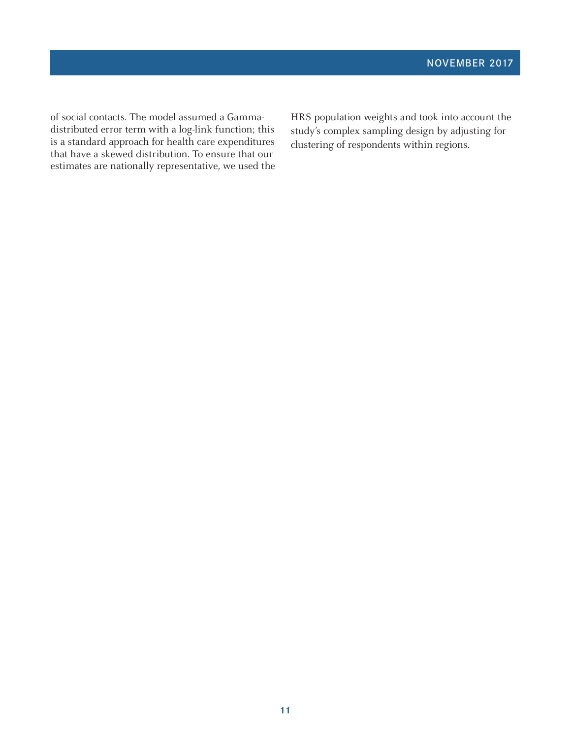of social contacts. The model assumed a Gammadistributed error term with a log-link function; this is a standard approach for health care expenditures that have a skewed distribution. To ensure that our estimates are nationally representative, we used the

HRS population weights and took into account the study's complex sampling design by adjusting for clustering of respondents within regions.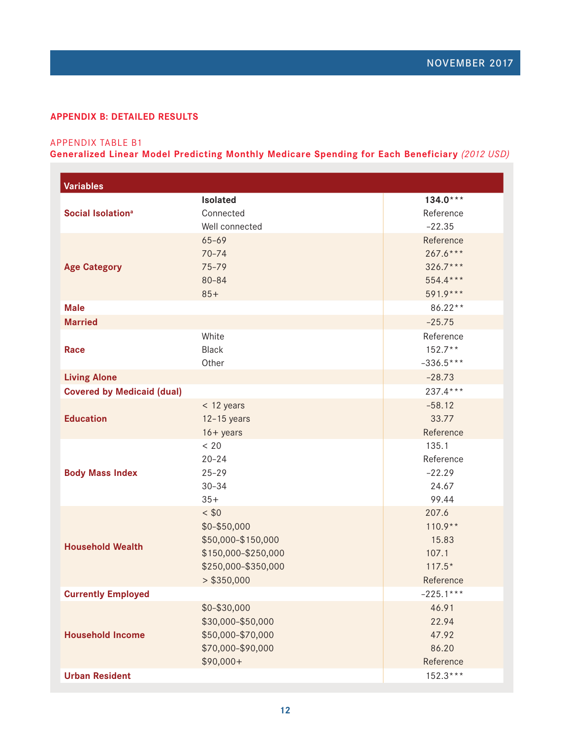# **APPENDIX B: DETAILED RESULTS**

# APPENDIX TABLE B1

**Generalized Linear Model Predicting Monthly Medicare Spending for Each Beneficiary** *(2012 USD)*

| <b>Variables</b>                  |                                                                                                            |                                                                   |
|-----------------------------------|------------------------------------------------------------------------------------------------------------|-------------------------------------------------------------------|
| Social Isolation <sup>a</sup>     | <b>Isolated</b><br>Connected<br>Well connected                                                             | $134.0***$<br>Reference<br>$-22.35$                               |
| <b>Age Category</b>               | $65 - 69$<br>$70 - 74$<br>75-79<br>$80 - 84$<br>$85+$                                                      | Reference<br>$267.6***$<br>$326.7***$<br>$554.4***$<br>$591.9***$ |
| <b>Male</b>                       |                                                                                                            | 86.22**                                                           |
| <b>Married</b>                    |                                                                                                            | $-25.75$                                                          |
| Race                              | White<br><b>Black</b><br>Other                                                                             | Reference<br>$152.7**$<br>$-336.5***$                             |
| <b>Living Alone</b>               |                                                                                                            | $-28.73$                                                          |
| <b>Covered by Medicaid (dual)</b> |                                                                                                            | $237.4***$                                                        |
| <b>Education</b>                  | < 12 years<br>$12-15$ years<br>$16 + years$                                                                | $-58.12$<br>33.77<br>Reference                                    |
| <b>Body Mass Index</b>            | < 20<br>$20 - 24$<br>$25 - 29$<br>$30 - 34$<br>$35+$                                                       | 135.1<br>Reference<br>$-22.29$<br>24.67<br>99.44                  |
| <b>Household Wealth</b>           | < \$0<br>\$0-\$50,000<br>\$50,000-\$150,000<br>\$150,000-\$250,000<br>\$250,000-\$350,000<br>$>$ \$350,000 | 207.6<br>$110.9**$<br>15.83<br>107.1<br>$117.5*$<br>Reference     |
| <b>Currently Employed</b>         |                                                                                                            | $-225.1***$                                                       |
| <b>Household Income</b>           | \$0-\$30,000<br>\$30,000-\$50,000<br>\$50,000-\$70,000<br>\$70,000-\$90,000<br>$$90,000+$                  | 46.91<br>22.94<br>47.92<br>86.20<br>Reference                     |
| <b>Urban Resident</b>             |                                                                                                            | $152.3***$                                                        |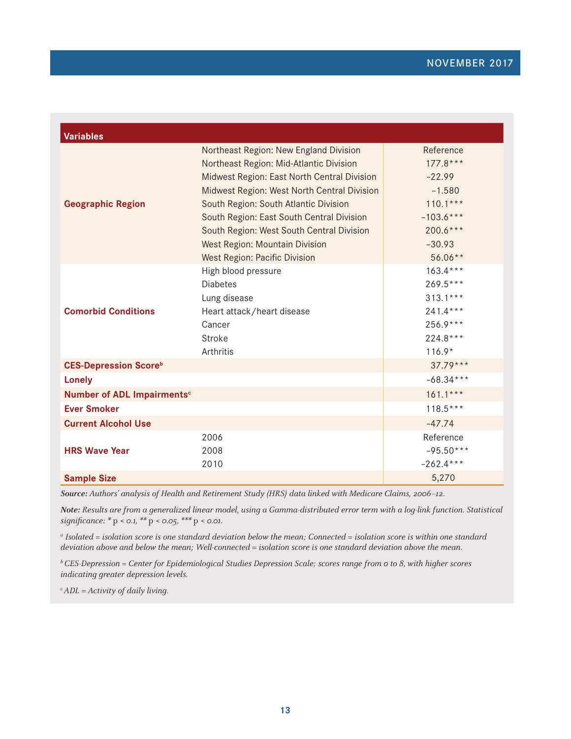| <b>Variables</b>                       |                                             |             |
|----------------------------------------|---------------------------------------------|-------------|
|                                        | Northeast Region: New England Division      | Reference   |
|                                        | Northeast Region: Mid-Atlantic Division     | $177.8***$  |
|                                        | Midwest Region: East North Central Division | $-22.99$    |
|                                        | Midwest Region: West North Central Division | $-1.580$    |
| <b>Geographic Region</b>               | South Region: South Atlantic Division       | $110.1***$  |
|                                        | South Region: East South Central Division   | $-103.6***$ |
|                                        | South Region: West South Central Division   | $200.6***$  |
|                                        | <b>West Region: Mountain Division</b>       | $-30.93$    |
|                                        | <b>West Region: Pacific Division</b>        | $56.06**$   |
|                                        | High blood pressure                         | $163.4***$  |
|                                        | <b>Diabetes</b>                             | $269.5***$  |
|                                        | Lung disease                                | $313.1***$  |
| <b>Comorbid Conditions</b>             | Heart attack/heart disease                  | $241.4***$  |
|                                        | Cancer                                      | 256.9***    |
|                                        | <b>Stroke</b>                               | $224.8***$  |
|                                        | Arthritis                                   | $116.9*$    |
| <b>CES-Depression Scoreb</b>           |                                             | $37.79***$  |
| <b>Lonely</b>                          |                                             | $-68.34***$ |
| Number of ADL Impairments <sup>c</sup> |                                             | $161.1***$  |
| <b>Ever Smoker</b>                     |                                             | $118.5***$  |
| <b>Current Alcohol Use</b>             |                                             | $-47.74$    |
|                                        | 2006                                        | Reference   |
| <b>HRS Wave Year</b>                   | 2008                                        | $-95.50***$ |
|                                        | 2010                                        | $-262.4***$ |
| <b>Sample Size</b>                     |                                             | 5,270       |

**Source:** Authors' analysis of Health and Retirement Study (HRS) data linked with Medicare Claims, 2006–12.

**Note:** Results are from a generalized linear model, using a Gamma-distributed error term with a log-link function. Statistical significance:  $* p < 0.1, ** p < 0.05, ** p < 0.01.$ 

a Isolated = isolation score is one standard deviation below the mean; Connected = isolation score is within one standard deviation above and below the mean; Well-connected = isolation score is one standard deviation above the mean.

 $b$  CES-Depression = Center for Epidemiological Studies Depression Scale; scores range from 0 to 8, with higher scores indicating greater depression levels.

 $c$  ADL = Activity of daily living.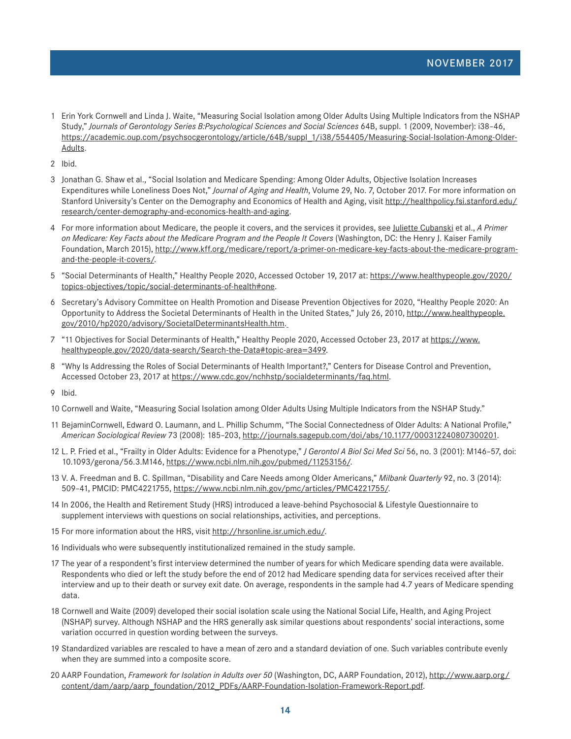- 1 Erin York Cornwell and Linda J. Waite, "Measuring Social Isolation among Older Adults Using Multiple Indicators from the NSHAP Study," *Journals of Gerontology Series B:Psychological Sciences and Social Sciences* 64B, suppl. 1 (2009, November): i38–46, [https://academic.oup.com/psychsocgerontology/article/64B/suppl\\_1/i38/554405/Measuring-Social-Isolation-Among-Older-](https://academic.oup.com/psychsocgerontology/article/64B/suppl_1/i38/554405/Measuring-Social-Isolation-Among-Older-Adults)[Adults](https://academic.oup.com/psychsocgerontology/article/64B/suppl_1/i38/554405/Measuring-Social-Isolation-Among-Older-Adults).
- 2 Ibid.
- 3 Jonathan G. Shaw et al., "Social Isolation and Medicare Spending: Among Older Adults, Objective Isolation Increases Expenditures while Loneliness Does Not," *Journal of Aging and Health*, Volume 29, No. 7, October 2017. For more information on Stanford University's Center on the Demography and Economics of Health and Aging, visit [http://healthpolicy.fsi.stanford.edu/](http://healthpolicy.fsi.stanford.edu/research/center-demography-and-economics-health-and-aging) [research/center-demography-and-economics-health-and-aging](http://healthpolicy.fsi.stanford.edu/research/center-demography-and-economics-health-and-aging).
- 4 For more information about Medicare, the people it covers, and the services it provides, see [Juliette Cubanski](http://www.kff.org/person/juliette-cubanski/) et al., *A Primer on Medicare: Key Facts about the Medicare Program and the People It Covers* (Washington, DC: the Henry J. Kaiser Family Foundation, March 2015), [http://www.kff.org/medicare/report/a-primer-on-medicare-key-facts-about-the-medicare-program](http://www.kff.org/medicare/report/a-primer-on-medicare-key-facts-about-the-medicare-program-and-the-people-it-covers/)[and-the-people-it-covers/](http://www.kff.org/medicare/report/a-primer-on-medicare-key-facts-about-the-medicare-program-and-the-people-it-covers/).
- 5 "Social Determinants of Health," Healthy People 2020, Accessed October 19, 2017 at: https://www.healthypeople.gov/2020/ topics-objectives/topic/social-determinants-of-health#one.
- 6 Secretary's Advisory Committee on Health Promotion and Disease Prevention Objectives for 2020, "Healthy People 2020: An Opportunity to Address the Societal Determinants of Health in the United States," July 26, 2010, [http://www.healthypeople.](http://www.healthypeople.gov/2010/hp2020/advisory/SocietalDeterminantsHealth.htm) [gov/2010/hp2020/advisory/SocietalDeterminantsHealth.htm](http://www.healthypeople.gov/2010/hp2020/advisory/SocietalDeterminantsHealth.htm).
- 7 "11 Objectives for Social Determinants of Health," Healthy People 2020, Accessed October 23, 2017 at https://www. healthypeople.gov/2020/data-search/Search-the-Data#topic-area=3499.
- 8 "Why Is Addressing the Roles of Social Determinants of Health Important?," Centers for Disease Control and Prevention, Accessed October 23, 2017 at [https://www.cdc.gov/nchhstp/socialdeterminants/faq.html.](https://www.cdc.gov/nchhstp/socialdeterminants/faq.html)
- 9 Ibid.
- 10 Cornwell and Waite, "Measuring Social Isolation among Older Adults Using Multiple Indicators from the NSHAP Study."
- 11 BejaminCornwell, Edward O. Laumann, and L. Phillip Schumm, "The Social Connectedness of Older Adults: A National Profile," *American Sociological Review* 73 (2008): 185–203, [http://journals.sagepub.com/doi/abs/10.1177/000312240807300201.](http://journals.sagepub.com/doi/abs/10.1177/000312240807300201)
- 12 L. P. Fried et al., "Frailty in Older Adults: Evidence for a Phenotype," *J Gerontol A Biol Sci Med Sci* 56, no. 3 (2001): M146–57, doi: 10.1093/gerona/56.3.M146, [https://www.ncbi.nlm.nih.gov/pubmed/11253156/.](https://www.ncbi.nlm.nih.gov/pubmed/11253156/)
- 13 V. A. Freedman and B. C. Spillman, "Disability and Care Needs among Older Americans," *Milbank Quarterly* 92, no. 3 (2014): 509–41, PMCID: PMC4221755,<https://www.ncbi.nlm.nih.gov/pmc/articles/PMC4221755/>.
- 14 In 2006, the Health and Retirement Study (HRS) introduced a leave-behind Psychosocial & Lifestyle Questionnaire to supplement interviews with questions on social relationships, activities, and perceptions.
- 15 For more information about the HRS, visit <http://hrsonline.isr.umich.edu/>.
- 16 Individuals who were subsequently institutionalized remained in the study sample.
- 17 The year of a respondent's first interview determined the number of years for which Medicare spending data were available. Respondents who died or left the study before the end of 2012 had Medicare spending data for services received after their interview and up to their death or survey exit date. On average, respondents in the sample had 4.7 years of Medicare spending data.
- 18 Cornwell and Waite (2009) developed their social isolation scale using the National Social Life, Health, and Aging Project (NSHAP) survey. Although NSHAP and the HRS generally ask similar questions about respondents' social interactions, some variation occurred in question wording between the surveys.
- 19 Standardized variables are rescaled to have a mean of zero and a standard deviation of one. Such variables contribute evenly when they are summed into a composite score.
- 20 AARP Foundation, *Framework for Isolation in Adults over 50* (Washington, DC, AARP Foundation, 2012), [http://www.aarp.org/](http://www.aarp.org/content/dam/aarp/aarp_foundation/2012_PDFs/AARP-Foundation-Isolation-Framework-Report.pdf) [content/dam/aarp/aarp\\_foundation/2012\\_PDFs/AARP-Foundation-Isolation-Framework-Report.pdf.](http://www.aarp.org/content/dam/aarp/aarp_foundation/2012_PDFs/AARP-Foundation-Isolation-Framework-Report.pdf)